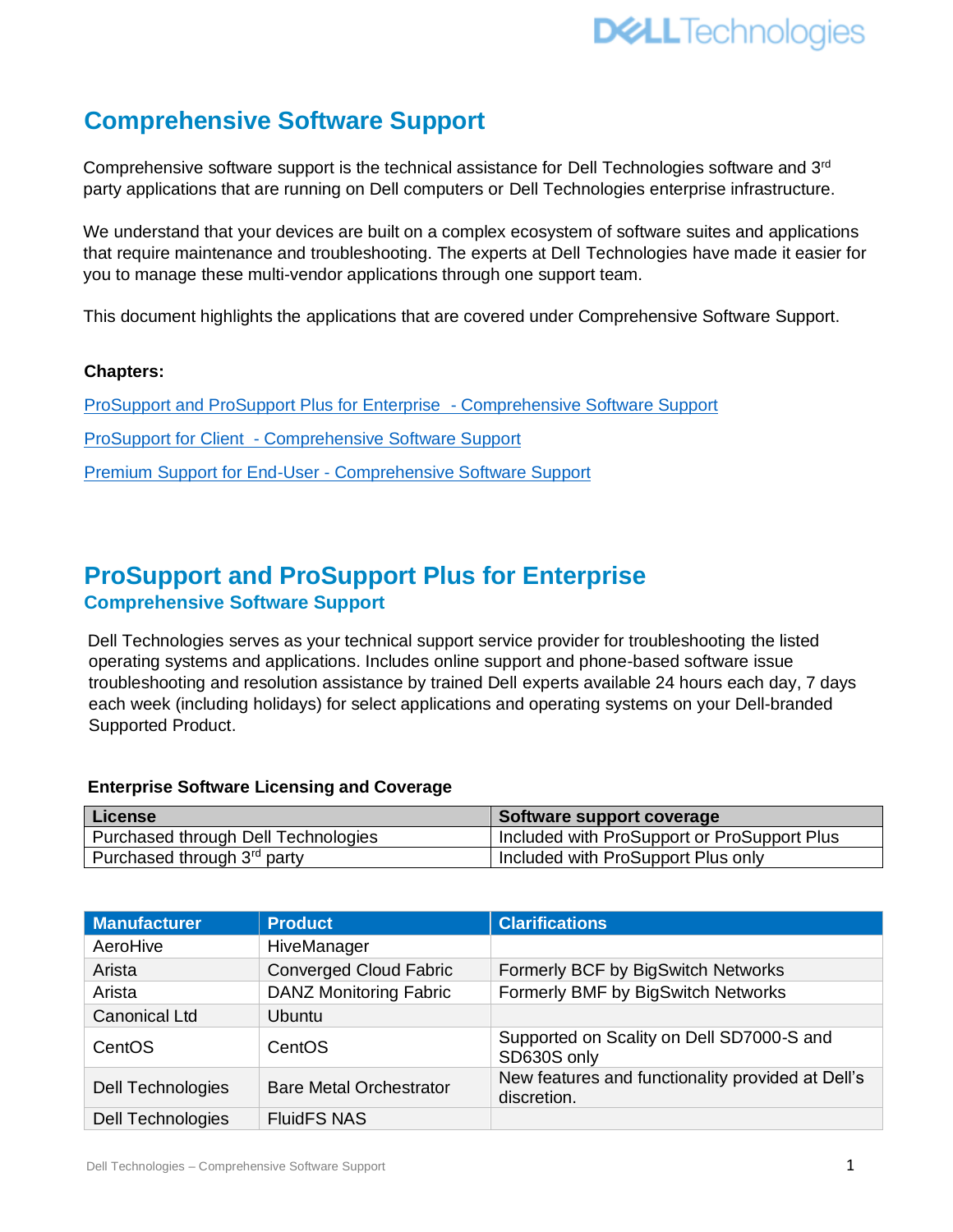

## **Comprehensive Software Support**

Comprehensive software support is the technical assistance for Dell Technologies software and 3<sup>rd</sup> party applications that are running on Dell computers or Dell Technologies enterprise infrastructure.

We understand that your devices are built on a complex ecosystem of software suites and applications that require maintenance and troubleshooting. The experts at Dell Technologies have made it easier for you to manage these multi-vendor applications through one support team.

This document highlights the applications that are covered under Comprehensive Software Support.

#### **Chapters:**

[ProSupport and ProSupport Plus for Enterprise -](#page-0-0) Comprehensive Software Support ProSupport for Client - [Comprehensive Software Support](#page-2-0) Premium Support for End-User - [Comprehensive Software Support](#page-5-0)

# <span id="page-0-0"></span>**ProSupport and ProSupport Plus for Enterprise**

#### **Comprehensive Software Support**

Dell Technologies serves as your technical support service provider for troubleshooting the listed operating systems and applications. Includes online support and phone-based software issue troubleshooting and resolution assistance by trained Dell experts available 24 hours each day, 7 days each week (including holidays) for select applications and operating systems on your Dell-branded Supported Product.

#### **Enterprise Software Licensing and Coverage**

| License                                 | Software support coverage                   |
|-----------------------------------------|---------------------------------------------|
| Purchased through Dell Technologies     | Included with ProSupport or ProSupport Plus |
| Purchased through 3 <sup>rd</sup> party | Included with ProSupport Plus only          |

| <b>Manufacturer</b>      | <b>Product</b>                 | <b>Clarifications</b>                                            |
|--------------------------|--------------------------------|------------------------------------------------------------------|
| AeroHive                 | HiveManager                    |                                                                  |
| Arista                   | <b>Converged Cloud Fabric</b>  | Formerly BCF by BigSwitch Networks                               |
| Arista                   | <b>DANZ Monitoring Fabric</b>  | Formerly BMF by BigSwitch Networks                               |
| <b>Canonical Ltd</b>     | <b>Ubuntu</b>                  |                                                                  |
| CentOS                   | CentOS                         | Supported on Scality on Dell SD7000-S and<br>SD630S only         |
| <b>Dell Technologies</b> | <b>Bare Metal Orchestrator</b> | New features and functionality provided at Dell's<br>discretion. |
| <b>Dell Technologies</b> | <b>FluidFS NAS</b>             |                                                                  |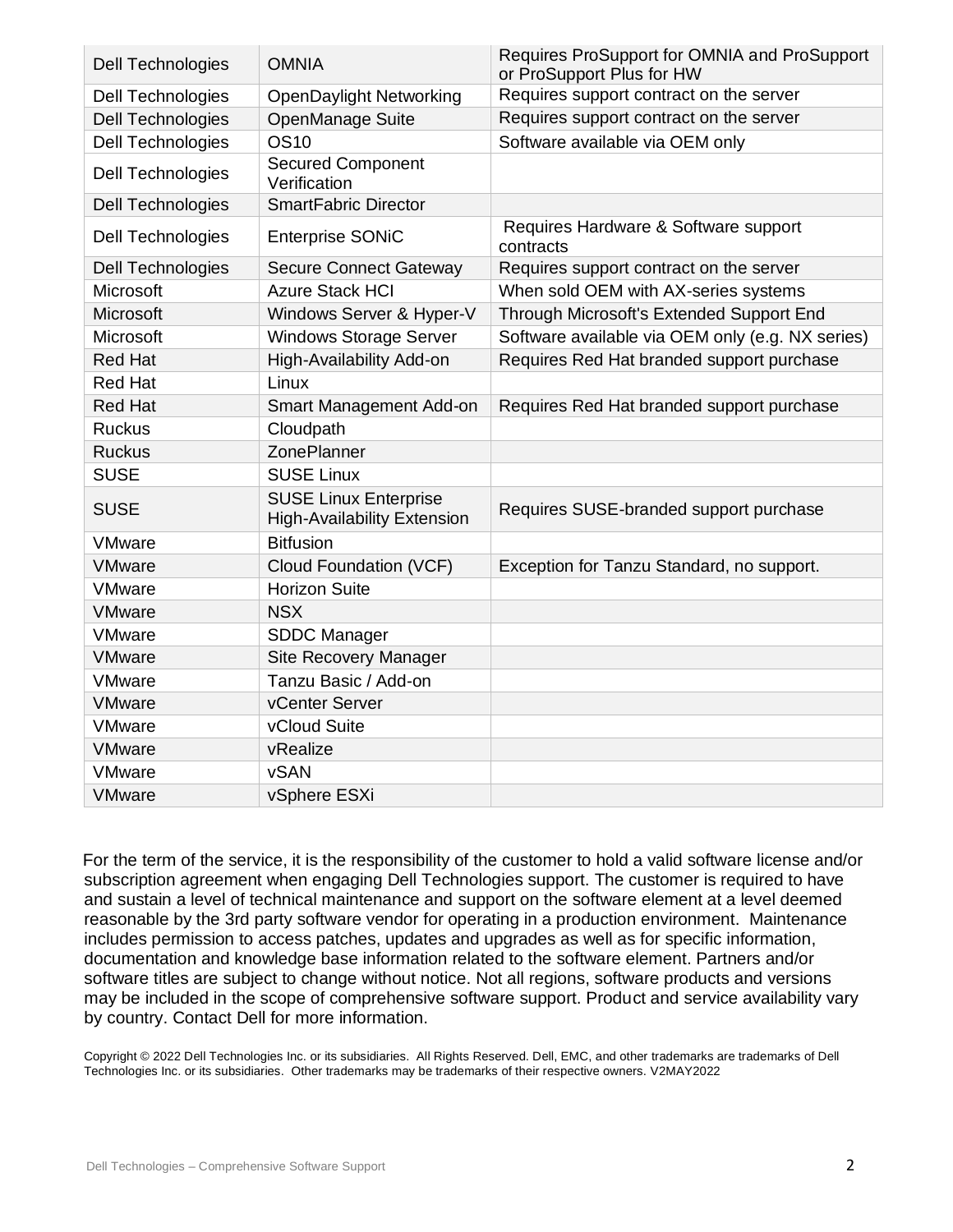| <b>Dell Technologies</b> | <b>OMNIA</b>                                                       | Requires ProSupport for OMNIA and ProSupport<br>or ProSupport Plus for HW |
|--------------------------|--------------------------------------------------------------------|---------------------------------------------------------------------------|
| <b>Dell Technologies</b> | <b>OpenDaylight Networking</b>                                     | Requires support contract on the server                                   |
| <b>Dell Technologies</b> | OpenManage Suite                                                   | Requires support contract on the server                                   |
| <b>Dell Technologies</b> | <b>OS10</b>                                                        | Software available via OEM only                                           |
| Dell Technologies        | <b>Secured Component</b><br>Verification                           |                                                                           |
| <b>Dell Technologies</b> | <b>SmartFabric Director</b>                                        |                                                                           |
| Dell Technologies        | <b>Enterprise SONiC</b>                                            | Requires Hardware & Software support<br>contracts                         |
| <b>Dell Technologies</b> | <b>Secure Connect Gateway</b>                                      | Requires support contract on the server                                   |
| Microsoft                | <b>Azure Stack HCI</b>                                             | When sold OEM with AX-series systems                                      |
| <b>Microsoft</b>         | Windows Server & Hyper-V                                           | Through Microsoft's Extended Support End                                  |
| <b>Microsoft</b>         | <b>Windows Storage Server</b>                                      | Software available via OEM only (e.g. NX series)                          |
| <b>Red Hat</b>           | High-Availability Add-on                                           | Requires Red Hat branded support purchase                                 |
| <b>Red Hat</b>           | Linux                                                              |                                                                           |
| <b>Red Hat</b>           | Smart Management Add-on                                            | Requires Red Hat branded support purchase                                 |
| <b>Ruckus</b>            | Cloudpath                                                          |                                                                           |
| <b>Ruckus</b>            | ZonePlanner                                                        |                                                                           |
| <b>SUSE</b>              | <b>SUSE Linux</b>                                                  |                                                                           |
| <b>SUSE</b>              | <b>SUSE Linux Enterprise</b><br><b>High-Availability Extension</b> | Requires SUSE-branded support purchase                                    |
| <b>VMware</b>            | <b>Bitfusion</b>                                                   |                                                                           |
| <b>VMware</b>            | Cloud Foundation (VCF)                                             | Exception for Tanzu Standard, no support.                                 |
| <b>VMware</b>            | <b>Horizon Suite</b>                                               |                                                                           |
| <b>VMware</b>            | <b>NSX</b>                                                         |                                                                           |
| <b>VMware</b>            | <b>SDDC Manager</b>                                                |                                                                           |
| <b>VMware</b>            | <b>Site Recovery Manager</b>                                       |                                                                           |
| <b>VMware</b>            | Tanzu Basic / Add-on                                               |                                                                           |
| <b>VMware</b>            | vCenter Server                                                     |                                                                           |
| <b>VMware</b>            | vCloud Suite                                                       |                                                                           |
| <b>VMware</b>            | vRealize                                                           |                                                                           |
| <b>VMware</b>            | <b>vSAN</b>                                                        |                                                                           |
| <b>VMware</b>            | vSphere ESXi                                                       |                                                                           |

For the term of the service, it is the responsibility of the customer to hold a valid software license and/or subscription agreement when engaging Dell Technologies support. The customer is required to have and sustain a level of technical maintenance and support on the software element at a level deemed reasonable by the 3rd party software vendor for operating in a production environment. Maintenance includes permission to access patches, updates and upgrades as well as for specific information, documentation and knowledge base information related to the software element. Partners and/or software titles are subject to change without notice. Not all regions, software products and versions may be included in the scope of comprehensive software support. Product and service availability vary by country. Contact Dell for more information.

Copyright © 2022 Dell Technologies Inc. or its subsidiaries. All Rights Reserved. Dell, EMC, and other trademarks are trademarks of Dell Technologies Inc. or its subsidiaries. Other trademarks may be trademarks of their respective owners. V2MAY2022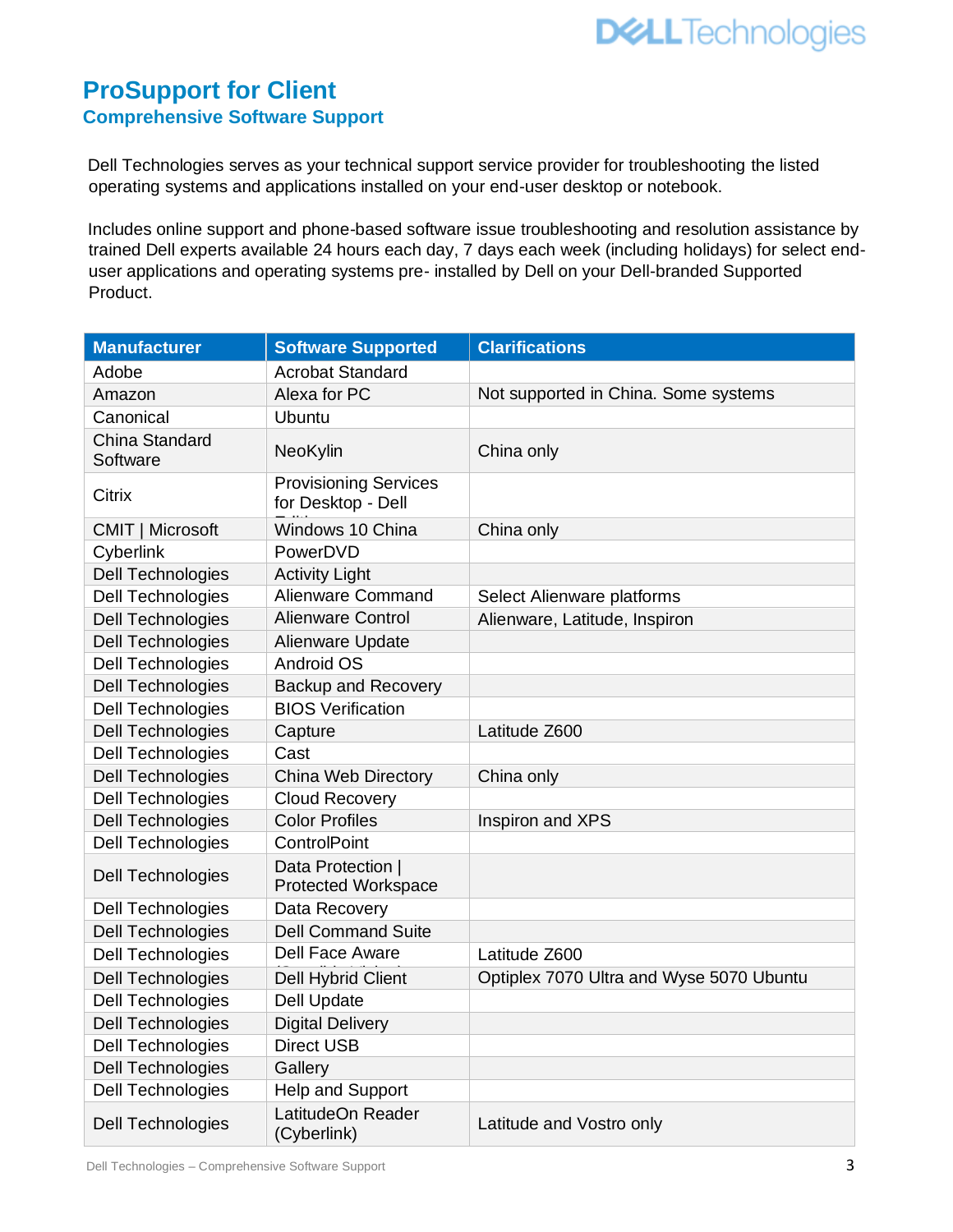## <span id="page-2-0"></span>**ProSupport for Client Comprehensive Software Support**

Dell Technologies serves as your technical support service provider for troubleshooting the listed operating systems and applications installed on your end-user desktop or notebook.

Includes online support and phone-based software issue troubleshooting and resolution assistance by trained Dell experts available 24 hours each day, 7 days each week (including holidays) for select enduser applications and operating systems pre- installed by Dell on your Dell-branded Supported Product.

| <b>Manufacturer</b>        | <b>Software Supported</b>                          | <b>Clarifications</b>                    |
|----------------------------|----------------------------------------------------|------------------------------------------|
| Adobe                      | <b>Acrobat Standard</b>                            |                                          |
| Amazon                     | Alexa for PC                                       | Not supported in China. Some systems     |
| Canonical                  | <b>Ubuntu</b>                                      |                                          |
| China Standard<br>Software | NeoKylin                                           | China only                               |
| <b>Citrix</b>              | <b>Provisioning Services</b><br>for Desktop - Dell |                                          |
| CMIT   Microsoft           | Windows 10 China                                   | China only                               |
| Cyberlink                  | PowerDVD                                           |                                          |
| <b>Dell Technologies</b>   | <b>Activity Light</b>                              |                                          |
| <b>Dell Technologies</b>   | <b>Alienware Command</b>                           | Select Alienware platforms               |
| <b>Dell Technologies</b>   | <b>Alienware Control</b>                           | Alienware, Latitude, Inspiron            |
| <b>Dell Technologies</b>   | Alienware Update                                   |                                          |
| <b>Dell Technologies</b>   | <b>Android OS</b>                                  |                                          |
| <b>Dell Technologies</b>   | <b>Backup and Recovery</b>                         |                                          |
| <b>Dell Technologies</b>   | <b>BIOS Verification</b>                           |                                          |
| <b>Dell Technologies</b>   | Capture                                            | Latitude Z600                            |
| <b>Dell Technologies</b>   | Cast                                               |                                          |
| <b>Dell Technologies</b>   | China Web Directory                                | China only                               |
| Dell Technologies          | Cloud Recovery                                     |                                          |
| Dell Technologies          | <b>Color Profiles</b>                              | Inspiron and XPS                         |
| <b>Dell Technologies</b>   | ControlPoint                                       |                                          |
| Dell Technologies          | Data Protection  <br><b>Protected Workspace</b>    |                                          |
| Dell Technologies          | Data Recovery                                      |                                          |
| Dell Technologies          | <b>Dell Command Suite</b>                          |                                          |
| <b>Dell Technologies</b>   | <b>Dell Face Aware</b>                             | Latitude Z600                            |
| <b>Dell Technologies</b>   | <b>Dell Hybrid Client</b>                          | Optiplex 7070 Ultra and Wyse 5070 Ubuntu |
| <b>Dell Technologies</b>   | <b>Dell Update</b>                                 |                                          |
| <b>Dell Technologies</b>   | <b>Digital Delivery</b>                            |                                          |
| <b>Dell Technologies</b>   | <b>Direct USB</b>                                  |                                          |
| <b>Dell Technologies</b>   | Gallery                                            |                                          |
| <b>Dell Technologies</b>   | Help and Support                                   |                                          |
| Dell Technologies          | LatitudeOn Reader<br>(Cyberlink)                   | Latitude and Vostro only                 |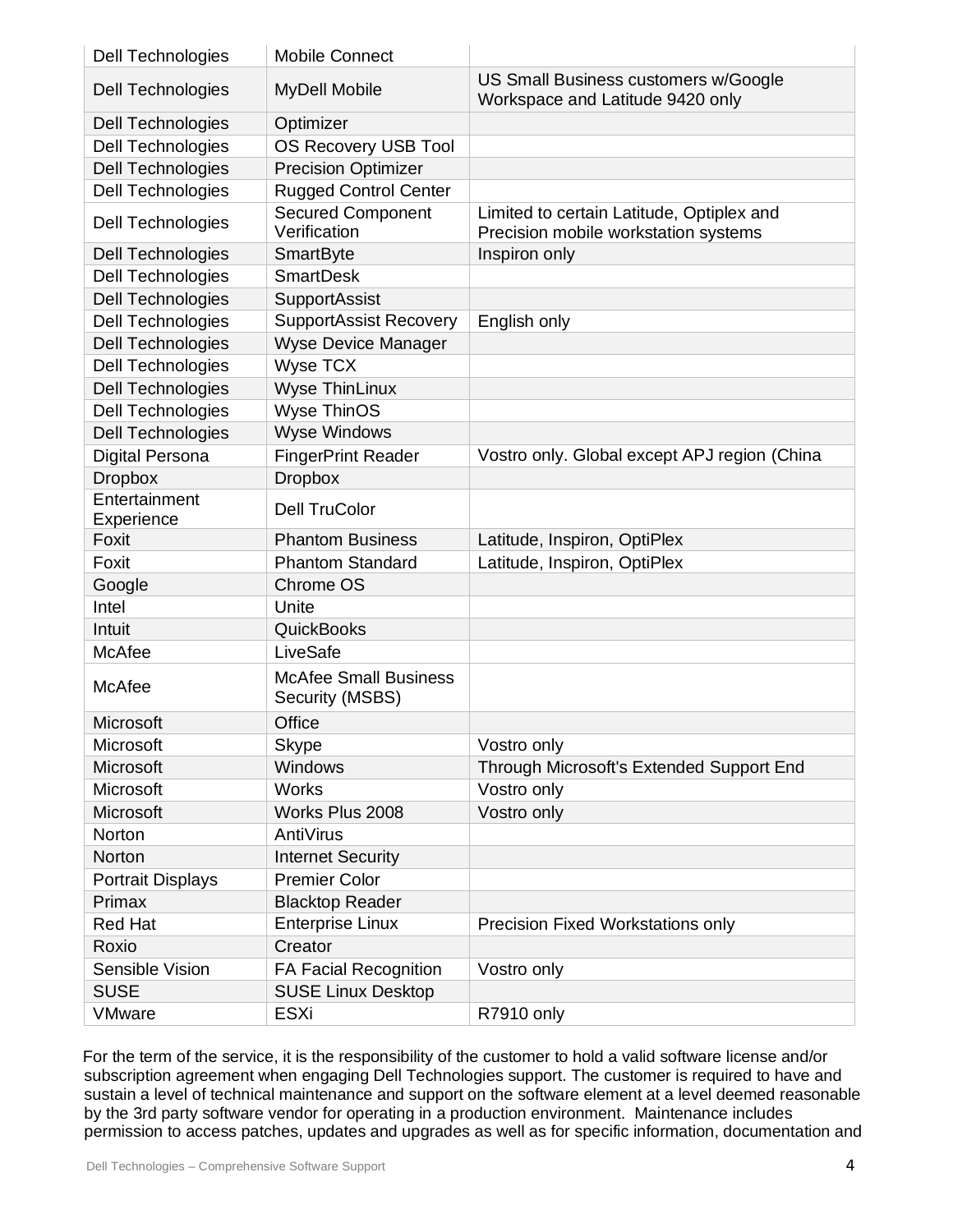| <b>Dell Technologies</b>    | <b>Mobile Connect</b>                           |                                                                                   |
|-----------------------------|-------------------------------------------------|-----------------------------------------------------------------------------------|
| Dell Technologies           | <b>MyDell Mobile</b>                            | US Small Business customers w/Google<br>Workspace and Latitude 9420 only          |
| Dell Technologies           | Optimizer                                       |                                                                                   |
| <b>Dell Technologies</b>    | <b>OS Recovery USB Tool</b>                     |                                                                                   |
| <b>Dell Technologies</b>    | <b>Precision Optimizer</b>                      |                                                                                   |
| <b>Dell Technologies</b>    | <b>Rugged Control Center</b>                    |                                                                                   |
| Dell Technologies           | <b>Secured Component</b><br>Verification        | Limited to certain Latitude, Optiplex and<br>Precision mobile workstation systems |
| Dell Technologies           | SmartByte                                       | Inspiron only                                                                     |
| Dell Technologies           | <b>SmartDesk</b>                                |                                                                                   |
| <b>Dell Technologies</b>    | SupportAssist                                   |                                                                                   |
| Dell Technologies           | <b>SupportAssist Recovery</b>                   | English only                                                                      |
| <b>Dell Technologies</b>    | <b>Wyse Device Manager</b>                      |                                                                                   |
| <b>Dell Technologies</b>    | <b>Wyse TCX</b>                                 |                                                                                   |
| <b>Dell Technologies</b>    | <b>Wyse ThinLinux</b>                           |                                                                                   |
| <b>Dell Technologies</b>    | <b>Wyse ThinOS</b>                              |                                                                                   |
| <b>Dell Technologies</b>    | <b>Wyse Windows</b>                             |                                                                                   |
| <b>Digital Persona</b>      | <b>FingerPrint Reader</b>                       | Vostro only. Global except APJ region (China                                      |
| <b>Dropbox</b>              | <b>Dropbox</b>                                  |                                                                                   |
| Entertainment<br>Experience | <b>Dell TruColor</b>                            |                                                                                   |
| Foxit                       | <b>Phantom Business</b>                         | Latitude, Inspiron, OptiPlex                                                      |
| Foxit                       | <b>Phantom Standard</b>                         | Latitude, Inspiron, OptiPlex                                                      |
| Google                      | Chrome OS                                       |                                                                                   |
| Intel                       | Unite                                           |                                                                                   |
| Intuit                      | <b>QuickBooks</b>                               |                                                                                   |
| McAfee                      | LiveSafe                                        |                                                                                   |
| McAfee                      | <b>McAfee Small Business</b><br>Security (MSBS) |                                                                                   |
| Microsoft                   | Office                                          |                                                                                   |
| Microsoft                   | <b>Skype</b>                                    | Vostro only                                                                       |
| Microsoft                   | Windows                                         | Through Microsoft's Extended Support End                                          |
| Microsoft                   | <b>Works</b>                                    | Vostro only                                                                       |
| Microsoft                   | Works Plus 2008                                 | Vostro only                                                                       |
| Norton                      | AntiVirus                                       |                                                                                   |
| Norton                      | <b>Internet Security</b>                        |                                                                                   |
| <b>Portrait Displays</b>    | <b>Premier Color</b>                            |                                                                                   |
| Primax                      | <b>Blacktop Reader</b>                          |                                                                                   |
| <b>Red Hat</b>              | <b>Enterprise Linux</b>                         | Precision Fixed Workstations only                                                 |
| Roxio                       | Creator                                         |                                                                                   |
| Sensible Vision             | <b>FA Facial Recognition</b>                    | Vostro only                                                                       |
| <b>SUSE</b>                 | <b>SUSE Linux Desktop</b>                       |                                                                                   |
| <b>VMware</b>               | <b>ESXi</b>                                     | R7910 only                                                                        |

For the term of the service, it is the responsibility of the customer to hold a valid software license and/or subscription agreement when engaging Dell Technologies support. The customer is required to have and sustain a level of technical maintenance and support on the software element at a level deemed reasonable by the 3rd party software vendor for operating in a production environment. Maintenance includes permission to access patches, updates and upgrades as well as for specific information, documentation and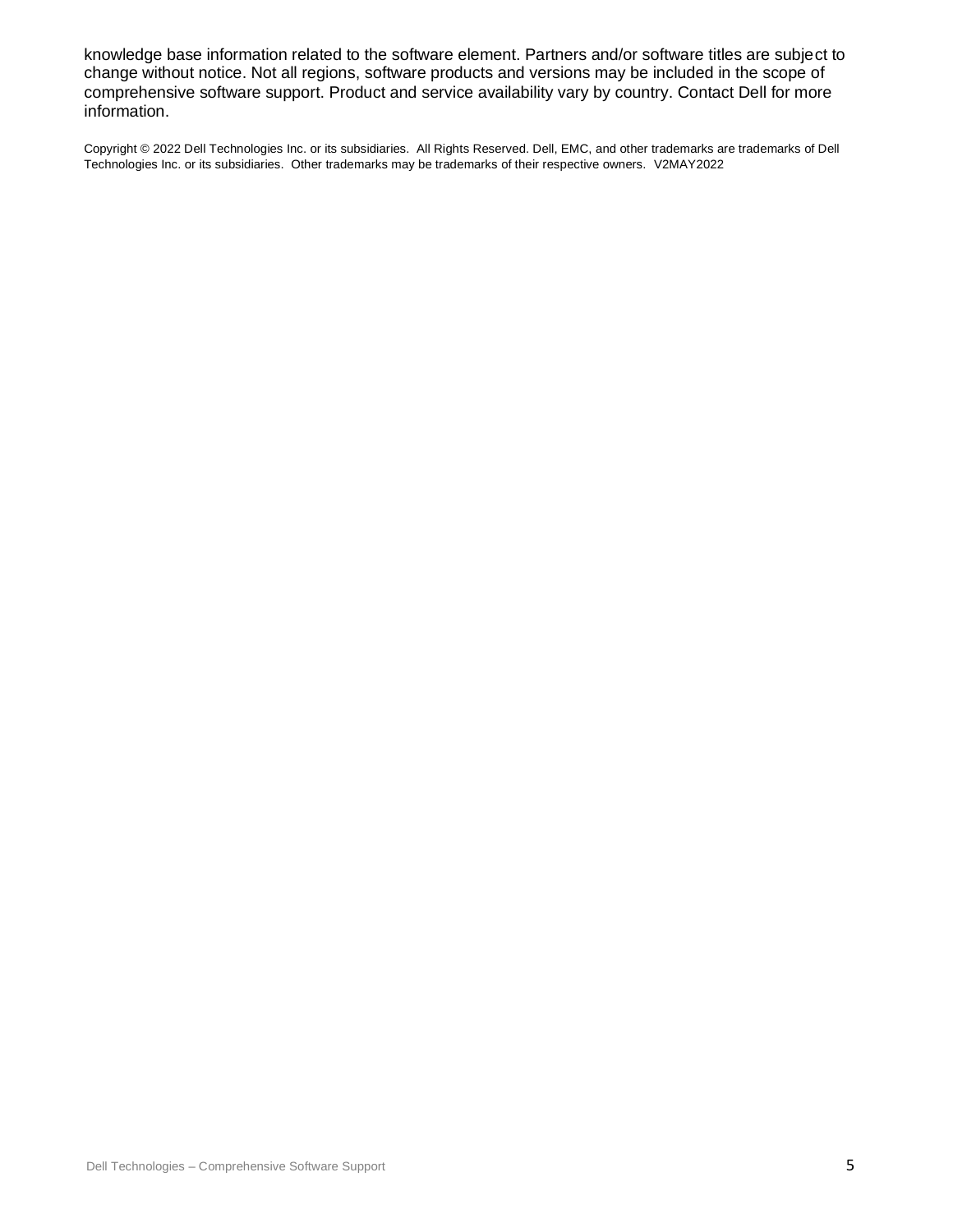knowledge base information related to the software element. Partners and/or software titles are subject to change without notice. Not all regions, software products and versions may be included in the scope of comprehensive software support. Product and service availability vary by country. Contact Dell for more information.

Copyright © 2022 Dell Technologies Inc. or its subsidiaries. All Rights Reserved. Dell, EMC, and other trademarks are trademarks of Dell Technologies Inc. or its subsidiaries. Other trademarks may be trademarks of their respective owners. V2MAY2022